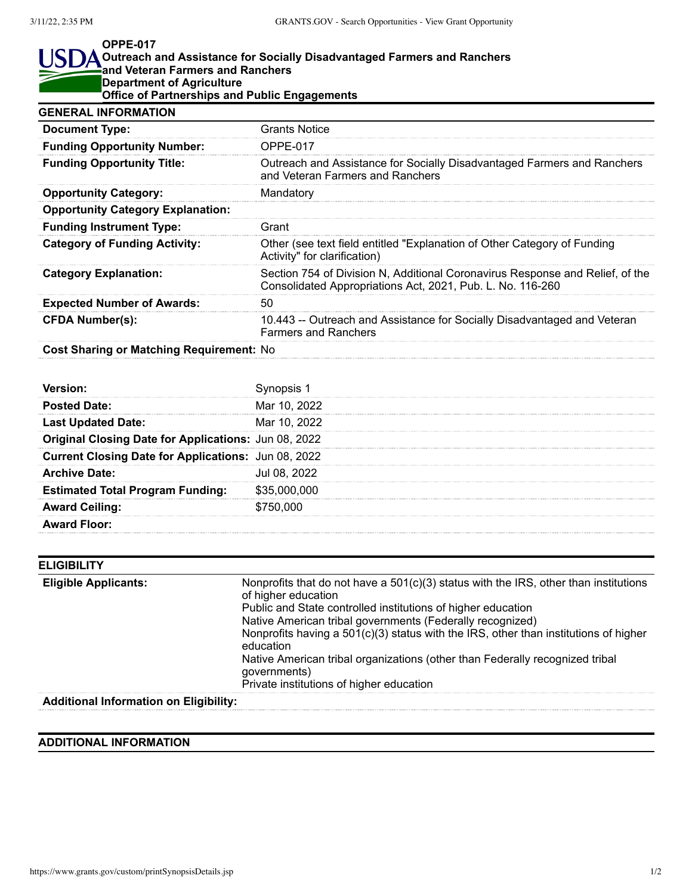## **OPPE-017** I ISI **Outreach and Assistance for Socially Disadvantaged Farmers and Ranchers and Veteran Farmers and Ranchers Department of Agriculture Office of Partnerships and Public Engagements GENERAL INFORMATION**

| <b>Document Type:</b>                    | <b>Grants Notice</b>                                                                                                                        |
|------------------------------------------|---------------------------------------------------------------------------------------------------------------------------------------------|
| <b>Funding Opportunity Number:</b>       | OPPE-017                                                                                                                                    |
| <b>Funding Opportunity Title:</b>        | Outreach and Assistance for Socially Disadvantaged Farmers and Ranchers<br>and Veteran Farmers and Ranchers                                 |
| <b>Opportunity Category:</b>             | Mandatory                                                                                                                                   |
| <b>Opportunity Category Explanation:</b> |                                                                                                                                             |
| <b>Funding Instrument Type:</b>          | Grant                                                                                                                                       |
| <b>Category of Funding Activity:</b>     | Other (see text field entitled "Explanation of Other Category of Funding<br>Activity" for clarification)                                    |
| <b>Category Explanation:</b>             | Section 754 of Division N, Additional Coronavirus Response and Relief, of the<br>Consolidated Appropriations Act, 2021, Pub. L. No. 116-260 |
| <b>Expected Number of Awards:</b>        | 50                                                                                                                                          |
| <b>CFDA Number(s):</b>                   | 10.443 -- Outreach and Assistance for Socially Disadvantaged and Veteran<br><b>Farmers and Ranchers</b>                                     |
|                                          |                                                                                                                                             |

**Cost Sharing or Matching Requirement:** No

| <b>Posted Date:</b>                                  | Mar 10, 2022 |
|------------------------------------------------------|--------------|
| <b>Last Updated Date:</b>                            | Mar 10, 2022 |
| Original Closing Date for Applications: Jun 08, 2022 |              |
| Current Closing Date for Applications: Jun 08, 2022  |              |
| <b>Archive Date:</b>                                 | Jul 08, 2022 |
| <b>Estimated Total Program Funding:</b>              | \$35,000,000 |
| <b>Award Ceiling:</b>                                | \$750,000    |
| <b>Award Floor:</b>                                  |              |

| <b>ELIGIBILITY</b>                     |                                                                                                                                                                                                                                                                                                                                      |
|----------------------------------------|--------------------------------------------------------------------------------------------------------------------------------------------------------------------------------------------------------------------------------------------------------------------------------------------------------------------------------------|
| <b>Eligible Applicants:</b>            | Nonprofits that do not have a $501(c)(3)$ status with the IRS, other than institutions<br>of higher education<br>Public and State controlled institutions of higher education<br>Native American tribal governments (Federally recognized)<br>Nonprofits having a $501(c)(3)$ status with the IRS, other than institutions of higher |
|                                        | education                                                                                                                                                                                                                                                                                                                            |
|                                        | Native American tribal organizations (other than Federally recognized tribal<br>governments)                                                                                                                                                                                                                                         |
|                                        | Private institutions of higher education                                                                                                                                                                                                                                                                                             |
| Additional Information on Elisibility. |                                                                                                                                                                                                                                                                                                                                      |

## **Additional Information on Eligibility:**

## **ADDITIONAL INFORMATION**